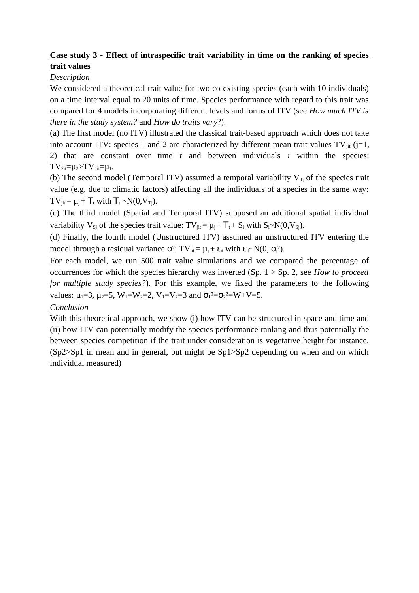## **Case study 3 - Effect of intraspecific trait variability in time on the ranking of species trait values**

## *Description*

We considered a theoretical trait value for two co-existing species (each with 10 individuals) on a time interval equal to 20 units of time. Species performance with regard to this trait was compared for 4 models incorporating different levels and forms of ITV (see *How much ITV is there in the study system?* and *How do traits vary*?).

(a) The first model (no ITV) illustrated the classical trait-based approach which does not take into account ITV: species 1 and 2 are characterized by different mean trait values TV $_{\text{lit}}$  (j=1, 2) that are constant over time *t* and between individuals *i* within the species:  $TV_{2it} = u_2 > TV_{1it} = u_1$ .

(b) The second model (Temporal ITV) assumed a temporal variability  $V_T$  of the species trait value (e.g. due to climatic factors) affecting all the individuals of a species in the same way: TV<sub>iit</sub> =  $\mu_i$  + T<sub>t</sub> with T<sub>t</sub> ~N(0,V<sub>Ti</sub>).

(c) The third model (Spatial and Temporal ITV) supposed an additional spatial individual variability  $V_{Sj}$  of the species trait value:  $TV_{jit} = \mu_j + T_t + S_i$  with  $S_i \sim N(0, V_{Sj})$ .

(d) Finally, the fourth model (Unstructured ITV) assumed an unstructured ITV entering the model through a residual variance  $\sigma^2$ : TV<sub>jit</sub> =  $\mu_j$  +  $\varepsilon_{it}$  with  $\varepsilon_{it} \sim N(0, \sigma_j^2)$ .

For each model, we run 500 trait value simulations and we compared the percentage of occurrences for which the species hierarchy was inverted (Sp. 1 > Sp. 2, see *How to proceed for multiple study species?*). For this example, we fixed the parameters to the following values:  $\mu_1$ =3,  $\mu_2$ =5, W<sub>1</sub>=W<sub>2</sub>=2, V<sub>1</sub>=V<sub>2</sub>=3 and  $\sigma_1$ <sup>2</sup>= $\sigma_2$ <sup>2</sup>=W+V=5.

## *Conclusion*

With this theoretical approach, we show (i) how ITV can be structured in space and time and (ii) how ITV can potentially modify the species performance ranking and thus potentially the between species competition if the trait under consideration is vegetative height for instance. (Sp2>Sp1 in mean and in general, but might be Sp1>Sp2 depending on when and on which individual measured)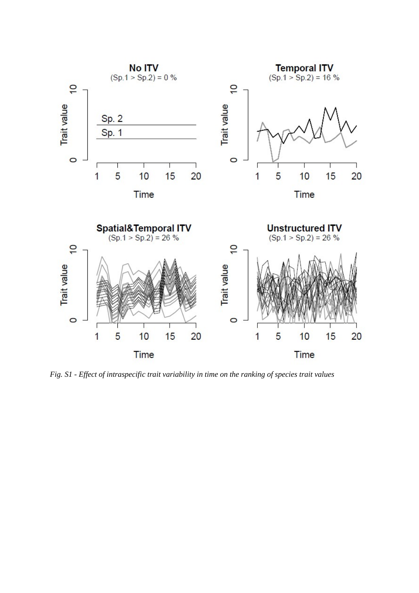

*Fig. S1 - Effect of intraspecific trait variability in time on the ranking of species trait values*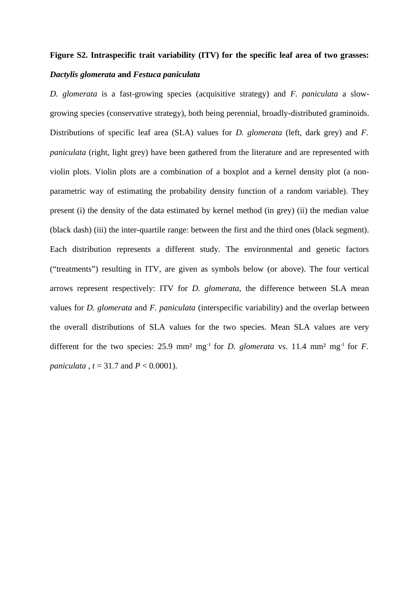## **Figure S2. Intraspecific trait variability (ITV) for the specific leaf area of two grasses:** *Dactylis glomerata* **and** *Festuca paniculata*

*D. glomerata* is a fast-growing species (acquisitive strategy) and *F. paniculata* a slowgrowing species (conservative strategy), both being perennial, broadly-distributed graminoids. Distributions of specific leaf area (SLA) values for *D. glomerata* (left, dark grey) and *F. paniculata* (right, light grey) have been gathered from the literature and are represented with violin plots. Violin plots are a combination of a boxplot and a kernel density plot (a nonparametric way of estimating the probability density function of a random variable). They present (i) the density of the data estimated by kernel method (in grey) (ii) the median value (black dash) (iii) the inter-quartile range: between the first and the third ones (black segment). Each distribution represents a different study. The environmental and genetic factors ("treatments") resulting in ITV, are given as symbols below (or above). The four vertical arrows represent respectively: ITV for *D. glomerata*, the difference between SLA mean values for *D. glomerata* and *F. paniculata* (interspecific variability) and the overlap between the overall distributions of SLA values for the two species. Mean SLA values are very different for the two species:  $25.9 \text{ mm}^2 \text{ mg}^{-1}$  for *D. glomerata* vs.  $11.4 \text{ mm}^2 \text{ mg}^{-1}$  for *F. paniculata* , *t* = 31.7 and *P* < 0.0001).